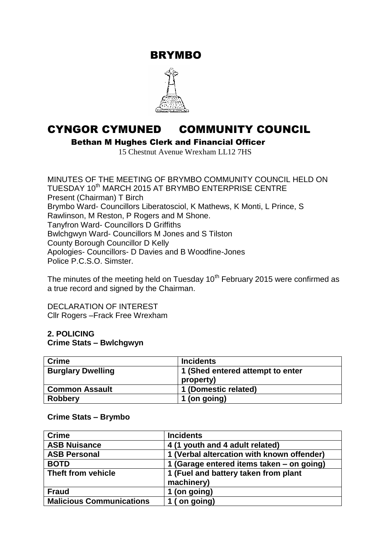BRYMBO



# CYNGOR CYMUNED COMMUNITY COUNCIL

Bethan M Hughes Clerk and Financial Officer

15 Chestnut Avenue Wrexham LL12 7HS

MINUTES OF THE MEETING OF BRYMBO COMMUNITY COUNCIL HELD ON TUESDAY 10<sup>th</sup> MARCH 2015 AT BRYMBO ENTERPRISE CENTRE Present (Chairman) T Birch Brymbo Ward- Councillors Liberatosciol, K Mathews, K Monti, L Prince, S Rawlinson, M Reston, P Rogers and M Shone. Tanyfron Ward- Councillors D Griffiths Bwlchgwyn Ward- Councillors M Jones and S Tilston County Borough Councillor D Kelly Apologies- Councillors- D Davies and B Woodfine-Jones Police P.C.S.O. Simster.

The minutes of the meeting held on Tuesday  $10^{th}$  February 2015 were confirmed as a true record and signed by the Chairman.

DECLARATION OF INTEREST Cllr Rogers –Frack Free Wrexham

### **2. POLICING Crime Stats – Bwlchgwyn**

| <b>Crime</b>             | <b>Incidents</b>                 |
|--------------------------|----------------------------------|
| <b>Burglary Dwelling</b> | 1 (Shed entered attempt to enter |
|                          | property)                        |
| <b>Common Assault</b>    | 1 (Domestic related)             |
| <b>Robbery</b>           | 1 (on going)                     |

#### **Crime Stats – Brymbo**

| <b>Crime</b>                    | <b>Incidents</b>                           |
|---------------------------------|--------------------------------------------|
| <b>ASB Nuisance</b>             | 4 (1 youth and 4 adult related)            |
| <b>ASB Personal</b>             | 1 (Verbal altercation with known offender) |
| <b>BOTD</b>                     | 1 (Garage entered items taken - on going)  |
| Theft from vehicle              | 1 (Fuel and battery taken from plant       |
|                                 | machinery)                                 |
| <b>Fraud</b>                    | 1 (on going)                               |
| <b>Malicious Communications</b> | 1 (on going)                               |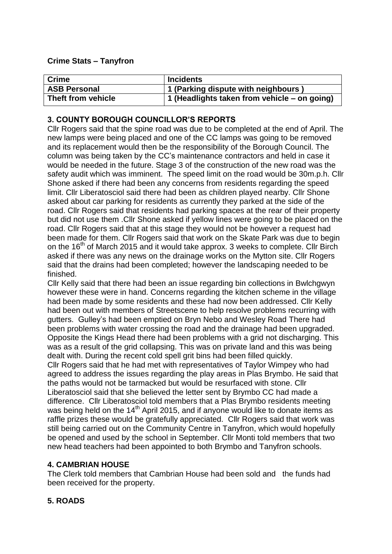### **Crime Stats – Tanyfron**

| <b>Crime</b>        | <b>Incidents</b>                             |
|---------------------|----------------------------------------------|
| <b>ASB Personal</b> | 1 (Parking dispute with neighbours)          |
| Theft from vehicle  | 1 (Headlights taken from vehicle – on going) |

# **3. COUNTY BOROUGH COUNCILLOR'S REPORTS**

Cllr Rogers said that the spine road was due to be completed at the end of April. The new lamps were being placed and one of the CC lamps was going to be removed and its replacement would then be the responsibility of the Borough Council. The column was being taken by the CC's maintenance contractors and held in case it would be needed in the future. Stage 3 of the construction of the new road was the safety audit which was imminent. The speed limit on the road would be 30m.p.h. Cllr Shone asked if there had been any concerns from residents regarding the speed limit. Cllr Liberatosciol said there had been as children played nearby. Cllr Shone asked about car parking for residents as currently they parked at the side of the road. Cllr Rogers said that residents had parking spaces at the rear of their property but did not use them .Cllr Shone asked if yellow lines were going to be placed on the road. Cllr Rogers said that at this stage they would not be however a request had been made for them. Cllr Rogers said that work on the Skate Park was due to begin on the 16<sup>th</sup> of March 2015 and it would take approx. 3 weeks to complete. Cllr Birch asked if there was any news on the drainage works on the Mytton site. Cllr Rogers said that the drains had been completed; however the landscaping needed to be finished.

Cllr Kelly said that there had been an issue regarding bin collections in Bwlchgwyn however these were in hand. Concerns regarding the kitchen scheme in the village had been made by some residents and these had now been addressed. Cllr Kelly had been out with members of Streetscene to help resolve problems recurring with gutters. Gulley's had been emptied on Bryn Nebo and Wesley Road There had been problems with water crossing the road and the drainage had been upgraded. Opposite the Kings Head there had been problems with a grid not discharging. This was as a result of the grid collapsing. This was on private land and this was being dealt with. During the recent cold spell grit bins had been filled quickly. Cllr Rogers said that he had met with representatives of Taylor Wimpey who had agreed to address the issues regarding the play areas in Plas Brymbo. He said that the paths would not be tarmacked but would be resurfaced with stone. Cllr Liberatosciol said that she believed the letter sent by Brymbo CC had made a difference. Cllr Liberatosciol told members that a Plas Brymbo residents meeting was being held on the 14<sup>th</sup> April 2015, and if anyone would like to donate items as raffle prizes these would be gratefully appreciated. Cllr Rogers said that work was still being carried out on the Community Centre in Tanyfron, which would hopefully be opened and used by the school in September. Cllr Monti told members that two new head teachers had been appointed to both Brymbo and Tanyfron schools.

## **4. CAMBRIAN HOUSE**

The Clerk told members that Cambrian House had been sold and the funds had been received for the property.

## **5. ROADS**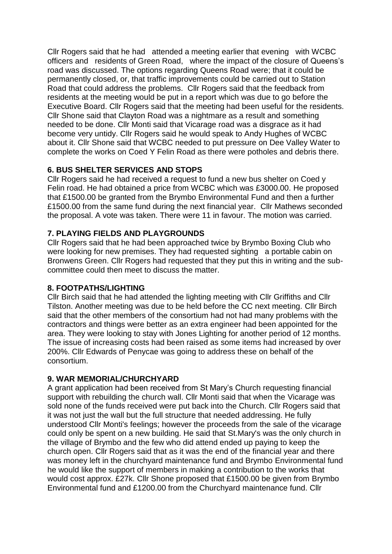Cllr Rogers said that he had attended a meeting earlier that evening with WCBC officers and residents of Green Road, where the impact of the closure of Queens's road was discussed. The options regarding Queens Road were; that it could be permanently closed, or, that traffic improvements could be carried out to Station Road that could address the problems. Cllr Rogers said that the feedback from residents at the meeting would be put in a report which was due to go before the Executive Board. Cllr Rogers said that the meeting had been useful for the residents. Cllr Shone said that Clayton Road was a nightmare as a result and something needed to be done. Cllr Monti said that Vicarage road was a disgrace as it had become very untidy. Cllr Rogers said he would speak to Andy Hughes of WCBC about it. Cllr Shone said that WCBC needed to put pressure on Dee Valley Water to complete the works on Coed Y Felin Road as there were potholes and debris there.

# **6. BUS SHELTER SERVICES AND STOPS**

Cllr Rogers said he had received a request to fund a new bus shelter on Coed y Felin road. He had obtained a price from WCBC which was £3000.00. He proposed that £1500.00 be granted from the Brymbo Environmental Fund and then a further £1500.00 from the same fund during the next financial year. Cllr Mathews seconded the proposal. A vote was taken. There were 11 in favour. The motion was carried.

## **7. PLAYING FIELDS AND PLAYGROUNDS**

Cllr Rogers said that he had been approached twice by Brymbo Boxing Club who were looking for new premises. They had requested sighting a portable cabin on Bronwens Green. Cllr Rogers had requested that they put this in writing and the subcommittee could then meet to discuss the matter.

## **8. FOOTPATHS/LIGHTING**

Cllr Birch said that he had attended the lighting meeting with Cllr Griffiths and Cllr Tilston. Another meeting was due to be held before the CC next meeting. Cllr Birch said that the other members of the consortium had not had many problems with the contractors and things were better as an extra engineer had been appointed for the area. They were looking to stay with Jones Lighting for another period of 12 months. The issue of increasing costs had been raised as some items had increased by over 200%. Cllr Edwards of Penycae was going to address these on behalf of the consortium.

## **9. WAR MEMORIAL/CHURCHYARD**

A grant application had been received from St Mary's Church requesting financial support with rebuilding the church wall. Cllr Monti said that when the Vicarage was sold none of the funds received were put back into the Church. Cllr Rogers said that it was not just the wall but the full structure that needed addressing. He fully understood Cllr Monti's feelings; however the proceeds from the sale of the vicarage could only be spent on a new building. He said that St.Mary's was the only church in the village of Brymbo and the few who did attend ended up paying to keep the church open. Cllr Rogers said that as it was the end of the financial year and there was money left in the churchyard maintenance fund and Brymbo Environmental fund he would like the support of members in making a contribution to the works that would cost approx. £27k. Cllr Shone proposed that £1500.00 be given from Brymbo Environmental fund and £1200.00 from the Churchyard maintenance fund. Cllr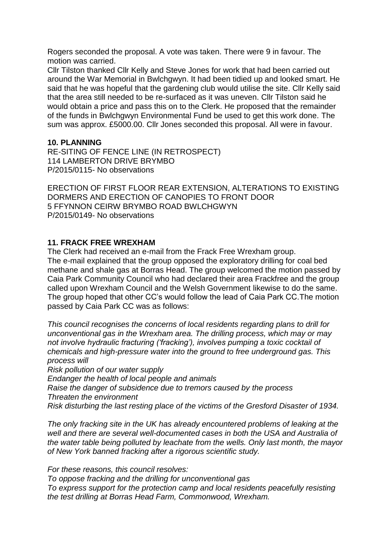Rogers seconded the proposal. A vote was taken. There were 9 in favour. The motion was carried.

Cllr Tilston thanked Cllr Kelly and Steve Jones for work that had been carried out around the War Memorial in Bwlchgwyn. It had been tidied up and looked smart. He said that he was hopeful that the gardening club would utilise the site. Cllr Kelly said that the area still needed to be re-surfaced as it was uneven. Cllr Tilston said he would obtain a price and pass this on to the Clerk. He proposed that the remainder of the funds in Bwlchgwyn Environmental Fund be used to get this work done. The sum was approx. £5000.00. Cllr Jones seconded this proposal. All were in favour.

#### **10. PLANNING**

RE-SITING OF FENCE LINE (IN RETROSPECT) 114 LAMBERTON DRIVE BRYMBO P/2015/0115- No observations

ERECTION OF FIRST FLOOR REAR EXTENSION, ALTERATIONS TO EXISTING DORMERS AND ERECTION OF CANOPIES TO FRONT DOOR 5 FFYNNON CEIRW BRYMBO ROAD BWLCHGWYN P/2015/0149- No observations

### **11. FRACK FREE WREXHAM**

The Clerk had received an e-mail from the Frack Free Wrexham group. The e-mail explained that the group opposed the exploratory drilling for coal bed methane and shale gas at Borras Head. The group welcomed the motion passed by Caia Park Community Council who had declared their area Frackfree and the group called upon Wrexham Council and the Welsh Government likewise to do the same. The group hoped that other CC's would follow the lead of Caia Park CC.The motion passed by Caia Park CC was as follows:

*This council recognises the concerns of local residents regarding plans to drill for unconventional gas in the Wrexham area. The drilling process, which may or may not involve hydraulic fracturing ('fracking'), involves pumping a toxic cocktail of chemicals and high-pressure water into the ground to free underground gas. This process will*

*Risk pollution of our water supply*

*Endanger the health of local people and animals*

*Raise the danger of subsidence due to tremors caused by the process Threaten the environment*

*Risk disturbing the last resting place of the victims of the Gresford Disaster of 1934.*

*The only fracking site in the UK has already encountered problems of leaking at the well and there are several well-documented cases in both the USA and Australia of the water table being polluted by leachate from the wells. Only last month, the mayor of New York banned fracking after a rigorous scientific study.*

*For these reasons, this council resolves:*

*To oppose fracking and the drilling for unconventional gas To express support for the protection camp and local residents peacefully resisting the test drilling at Borras Head Farm, Commonwood, Wrexham.*